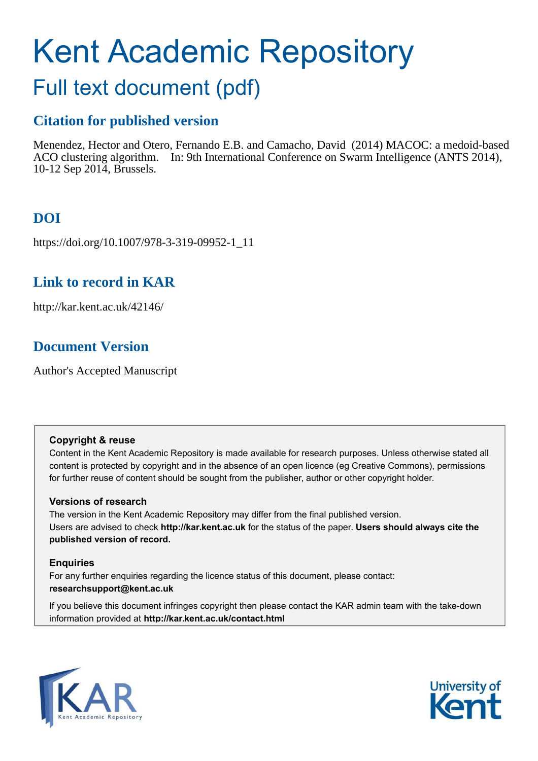# Kent Academic Repository

## Full text document (pdf)

## **Citation for published version**

Menendez, Hector and Otero, Fernando E.B. and Camacho, David (2014) MACOC: a medoid-based ACO clustering algorithm. In: 9th International Conference on Swarm Intelligence (ANTS 2014), 10-12 Sep 2014, Brussels.

## **DOI**

https://doi.org/10.1007/978-3-319-09952-1\_11

## **Link to record in KAR**

http://kar.kent.ac.uk/42146/

## **Document Version**

Author's Accepted Manuscript

#### **Copyright & reuse**

Content in the Kent Academic Repository is made available for research purposes. Unless otherwise stated all content is protected by copyright and in the absence of an open licence (eg Creative Commons), permissions for further reuse of content should be sought from the publisher, author or other copyright holder.

#### **Versions of research**

The version in the Kent Academic Repository may differ from the final published version. Users are advised to check **http://kar.kent.ac.uk** for the status of the paper. **Users should always cite the published version of record.**

#### **Enquiries**

For any further enquiries regarding the licence status of this document, please contact: **researchsupport@kent.ac.uk**

If you believe this document infringes copyright then please contact the KAR admin team with the take-down information provided at **http://kar.kent.ac.uk/contact.html**



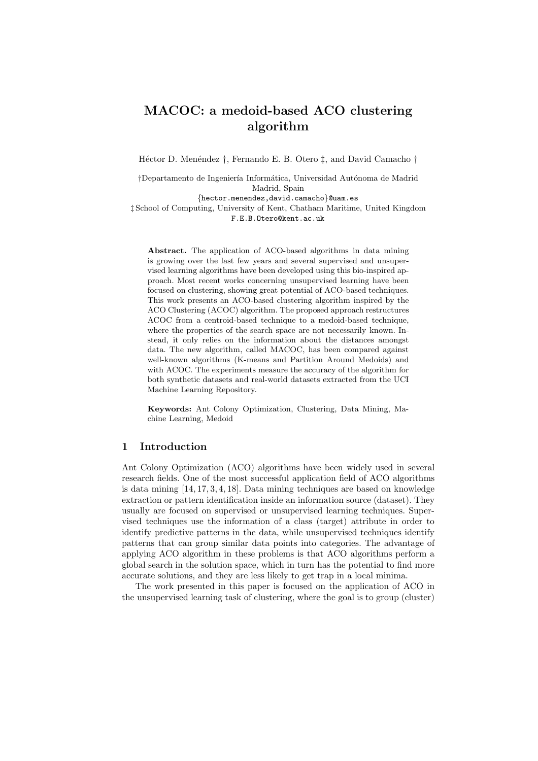### MACOC: a medoid-based ACO clustering algorithm

Héctor D. Menéndez †, Fernando E. B. Otero ‡, and David Camacho †

†Departamento de Ingeniería Informática, Universidad Autónoma de Madrid Madrid, Spain

{hector.menendez,david.camacho}@uam.es

‡ School of Computing, University of Kent, Chatham Maritime, United Kingdom F.E.B.Otero@kent.ac.uk

Abstract. The application of ACO-based algorithms in data mining is growing over the last few years and several supervised and unsupervised learning algorithms have been developed using this bio-inspired approach. Most recent works concerning unsupervised learning have been focused on clustering, showing great potential of ACO-based techniques. This work presents an ACO-based clustering algorithm inspired by the ACO Clustering (ACOC) algorithm. The proposed approach restructures ACOC from a centroid-based technique to a medoid-based technique, where the properties of the search space are not necessarily known. Instead, it only relies on the information about the distances amongst data. The new algorithm, called MACOC, has been compared against well-known algorithms (K-means and Partition Around Medoids) and with ACOC. The experiments measure the accuracy of the algorithm for both synthetic datasets and real-world datasets extracted from the UCI Machine Learning Repository.

Keywords: Ant Colony Optimization, Clustering, Data Mining, Machine Learning, Medoid

#### 1 Introduction

Ant Colony Optimization (ACO) algorithms have been widely used in several research fields. One of the most successful application field of ACO algorithms is data mining [14, 17, 3, 4, 18]. Data mining techniques are based on knowledge extraction or pattern identification inside an information source (dataset). They usually are focused on supervised or unsupervised learning techniques. Supervised techniques use the information of a class (target) attribute in order to identify predictive patterns in the data, while unsupervised techniques identify patterns that can group similar data points into categories. The advantage of applying ACO algorithm in these problems is that ACO algorithms perform a global search in the solution space, which in turn has the potential to find more accurate solutions, and they are less likely to get trap in a local minima.

The work presented in this paper is focused on the application of ACO in the unsupervised learning task of clustering, where the goal is to group (cluster)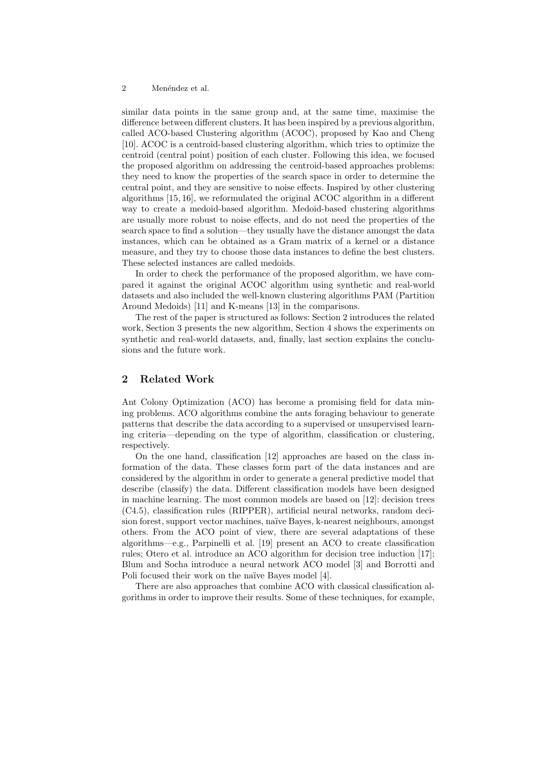#### 2 Menéndez et al.

similar data points in the same group and, at the same time, maximise the difference between different clusters. It has been inspired by a previous algorithm, called ACO-based Clustering algorithm (ACOC), proposed by Kao and Cheng [10]. ACOC is a centroid-based clustering algorithm, which tries to optimize the centroid (central point) position of each cluster. Following this idea, we focused the proposed algorithm on addressing the centroid-based approaches problems: they need to know the properties of the search space in order to determine the central point, and they are sensitive to noise effects. Inspired by other clustering algorithms [15, 16], we reformulated the original ACOC algorithm in a different way to create a medoid-based algorithm. Medoid-based clustering algorithms are usually more robust to noise effects, and do not need the properties of the search space to find a solution—they usually have the distance amongst the data instances, which can be obtained as a Gram matrix of a kernel or a distance measure, and they try to choose those data instances to define the best clusters. These selected instances are called medoids.

In order to check the performance of the proposed algorithm, we have compared it against the original ACOC algorithm using synthetic and real-world datasets and also included the well-known clustering algorithms PAM (Partition Around Medoids) [11] and K-means [13] in the comparisons.

The rest of the paper is structured as follows: Section 2 introduces the related work, Section 3 presents the new algorithm, Section 4 shows the experiments on synthetic and real-world datasets, and, finally, last section explains the conclusions and the future work.

#### 2 Related Work

Ant Colony Optimization (ACO) has become a promising field for data mining problems. ACO algorithms combine the ants foraging behaviour to generate patterns that describe the data according to a supervised or unsupervised learning criteria—depending on the type of algorithm, classification or clustering, respectively.

On the one hand, classification [12] approaches are based on the class information of the data. These classes form part of the data instances and are considered by the algorithm in order to generate a general predictive model that describe (classify) the data. Different classification models have been designed in machine learning. The most common models are based on [12]: decision trees (C4.5), classification rules (RIPPER), artificial neural networks, random decision forest, support vector machines, naïve Bayes, k-nearest neighbours, amongst others. From the ACO point of view, there are several adaptations of these algorithms—e.g., Parpinelli et al. [19] present an ACO to create classification rules; Otero et al. introduce an ACO algorithm for decision tree induction [17]; Blum and Socha introduce a neural network ACO model [3] and Borrotti and Poli focused their work on the naïve Bayes model [4].

There are also approaches that combine ACO with classical classification algorithms in order to improve their results. Some of these techniques, for example,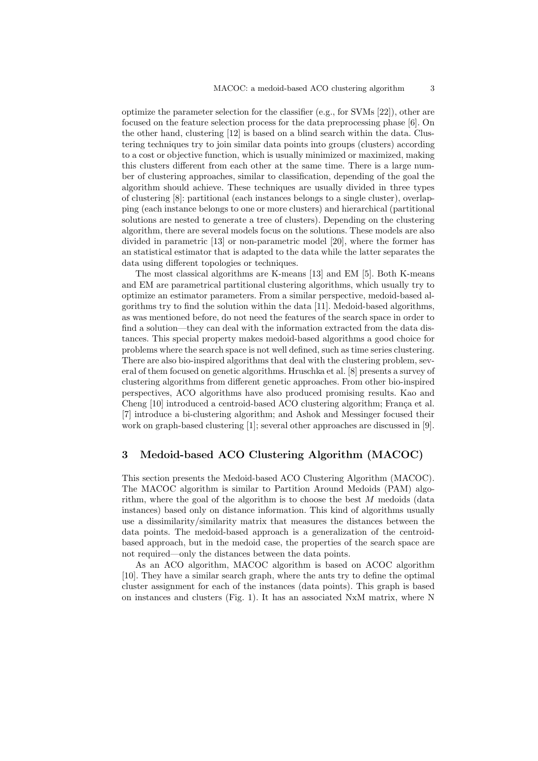optimize the parameter selection for the classifier (e.g., for SVMs [22]), other are focused on the feature selection process for the data preprocessing phase [6]. On the other hand, clustering [12] is based on a blind search within the data. Clustering techniques try to join similar data points into groups (clusters) according to a cost or objective function, which is usually minimized or maximized, making this clusters different from each other at the same time. There is a large number of clustering approaches, similar to classification, depending of the goal the algorithm should achieve. These techniques are usually divided in three types of clustering [8]: partitional (each instances belongs to a single cluster), overlapping (each instance belongs to one or more clusters) and hierarchical (partitional solutions are nested to generate a tree of clusters). Depending on the clustering algorithm, there are several models focus on the solutions. These models are also divided in parametric [13] or non-parametric model [20], where the former has an statistical estimator that is adapted to the data while the latter separates the data using different topologies or techniques.

The most classical algorithms are K-means [13] and EM [5]. Both K-means and EM are parametrical partitional clustering algorithms, which usually try to optimize an estimator parameters. From a similar perspective, medoid-based algorithms try to find the solution within the data [11]. Medoid-based algorithms, as was mentioned before, do not need the features of the search space in order to find a solution—they can deal with the information extracted from the data distances. This special property makes medoid-based algorithms a good choice for problems where the search space is not well defined, such as time series clustering. There are also bio-inspired algorithms that deal with the clustering problem, several of them focused on genetic algorithms. Hruschka et al. [8] presents a survey of clustering algorithms from different genetic approaches. From other bio-inspired perspectives, ACO algorithms have also produced promising results. Kao and Cheng [10] introduced a centroid-based ACO clustering algorithm; França et al. [7] introduce a bi-clustering algorithm; and Ashok and Messinger focused their work on graph-based clustering [1]; several other approaches are discussed in [9].

#### 3 Medoid-based ACO Clustering Algorithm (MACOC)

This section presents the Medoid-based ACO Clustering Algorithm (MACOC). The MACOC algorithm is similar to Partition Around Medoids (PAM) algorithm, where the goal of the algorithm is to choose the best  $M$  medoids (data instances) based only on distance information. This kind of algorithms usually use a dissimilarity/similarity matrix that measures the distances between the data points. The medoid-based approach is a generalization of the centroidbased approach, but in the medoid case, the properties of the search space are not required—only the distances between the data points.

As an ACO algorithm, MACOC algorithm is based on ACOC algorithm [10]. They have a similar search graph, where the ants try to define the optimal cluster assignment for each of the instances (data points). This graph is based on instances and clusters (Fig. 1). It has an associated NxM matrix, where N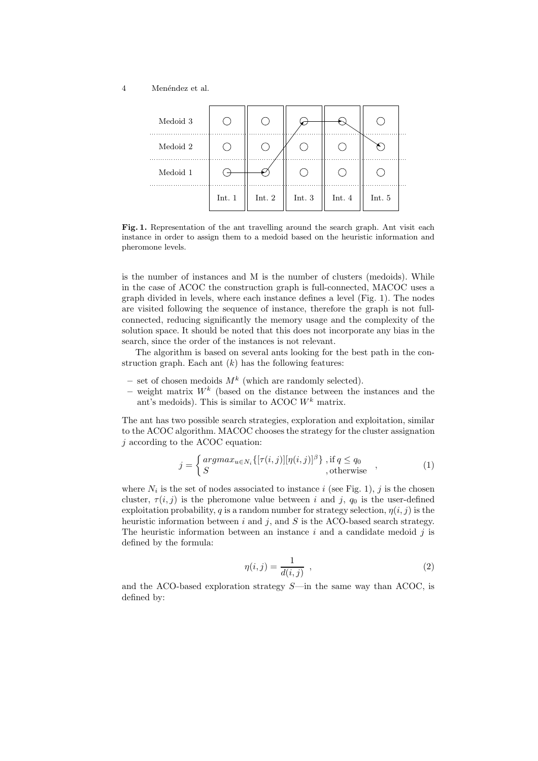#### 4 Menéndez et al.



Fig. 1. Representation of the ant travelling around the search graph. Ant visit each instance in order to assign them to a medoid based on the heuristic information and pheromone levels.

is the number of instances and M is the number of clusters (medoids). While in the case of ACOC the construction graph is full-connected, MACOC uses a graph divided in levels, where each instance defines a level (Fig. 1). The nodes are visited following the sequence of instance, therefore the graph is not fullconnected, reducing significantly the memory usage and the complexity of the solution space. It should be noted that this does not incorporate any bias in the search, since the order of the instances is not relevant.

The algorithm is based on several ants looking for the best path in the construction graph. Each ant  $(k)$  has the following features:

- set of chosen medoids  $M^k$  (which are randomly selected).
- weight matrix  $W^k$  (based on the distance between the instances and the ant's medoids). This is similar to ACOC  $W^k$  matrix.

The ant has two possible search strategies, exploration and exploitation, similar to the ACOC algorithm. MACOC chooses the strategy for the cluster assignation j according to the ACOC equation:

$$
j = \begin{cases} argmax_{u \in N_i} \{ [\tau(i,j)] [\eta(i,j)]^{\beta} \}, \text{ if } q \le q_0 \\ S, \text{ otherwise} \end{cases}, \tag{1}
$$

where  $N_i$  is the set of nodes associated to instance i (see Fig. 1), j is the chosen cluster,  $\tau(i, j)$  is the pheromone value between i and j,  $q_0$  is the user-defined exploitation probability, q is a random number for strategy selection,  $\eta(i, j)$  is the heuristic information between  $i$  and  $j$ , and  $S$  is the ACO-based search strategy. The heuristic information between an instance  $i$  and a candidate medoid  $j$  is defined by the formula:

$$
\eta(i,j) = \frac{1}{d(i,j)} \quad , \tag{2}
$$

and the ACO-based exploration strategy  $S$ —in the same way than ACOC, is defined by: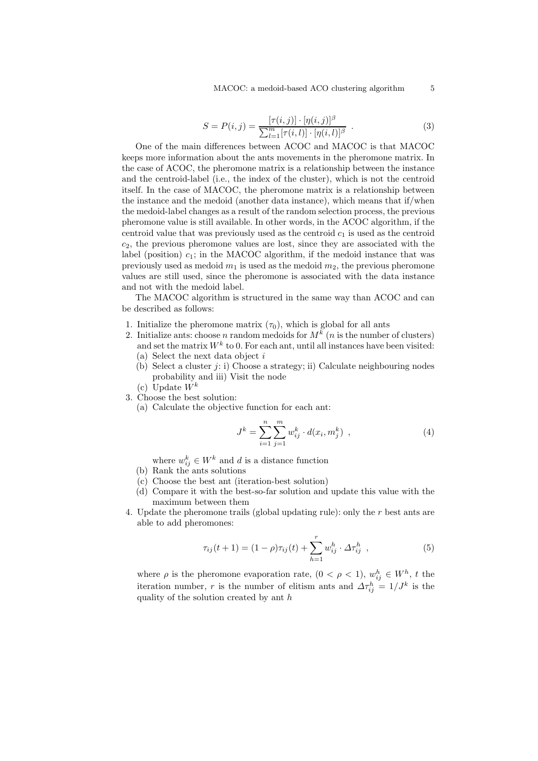MACOC: a medoid-based ACO clustering algorithm 5

$$
S = P(i, j) = \frac{[\tau(i, j)] \cdot [\eta(i, j)]^{\beta}}{\sum_{l=1}^{m} [\tau(i, l)] \cdot [\eta(i, l)]^{\beta}}.
$$
 (3)

One of the main differences between ACOC and MACOC is that MACOC keeps more information about the ants movements in the pheromone matrix. In the case of ACOC, the pheromone matrix is a relationship between the instance and the centroid-label (i.e., the index of the cluster), which is not the centroid itself. In the case of MACOC, the pheromone matrix is a relationship between the instance and the medoid (another data instance), which means that if/when the medoid-label changes as a result of the random selection process, the previous pheromone value is still available. In other words, in the ACOC algorithm, if the centroid value that was previously used as the centroid  $c_1$  is used as the centroid  $c_2$ , the previous pheromone values are lost, since they are associated with the label (position)  $c_1$ ; in the MACOC algorithm, if the medoid instance that was previously used as medoid  $m_1$  is used as the medoid  $m_2$ , the previous pheromone values are still used, since the pheromone is associated with the data instance and not with the medoid label.

The MACOC algorithm is structured in the same way than ACOC and can be described as follows:

- 1. Initialize the pheromone matrix  $(\tau_0)$ , which is global for all ants
- 2. Initialize ants: choose n random medoids for  $M^k$  (n is the number of clusters) and set the matrix  $W^k$  to 0. For each ant, until all instances have been visited:
	- (a) Select the next data object i
	- (b) Select a cluster  $j: i$ ) Choose a strategy; ii) Calculate neighbouring nodes probability and iii) Visit the node
	- (c) Update  $W^k$
- 3. Choose the best solution:
	- (a) Calculate the objective function for each ant:

$$
J^{k} = \sum_{i=1}^{n} \sum_{j=1}^{m} w_{ij}^{k} \cdot d(x_{i}, m_{j}^{k}) , \qquad (4)
$$

- where  $w_{ij}^k \in W^k$  and d is a distance function
- (b) Rank the ants solutions
- (c) Choose the best ant (iteration-best solution)
- (d) Compare it with the best-so-far solution and update this value with the maximum between them
- 4. Update the pheromone trails (global updating rule): only the r best ants are able to add pheromones:

$$
\tau_{ij}(t+1) = (1-\rho)\tau_{ij}(t) + \sum_{h=1}^{r} w_{ij}^h \cdot \Delta \tau_{ij}^h , \qquad (5)
$$

where  $\rho$  is the pheromone evaporation rate,  $(0 < \rho < 1)$ ,  $w_{ij}^h \in W^h$ , t the iteration number, r is the number of elitism ants and  $\Delta \tau_{ij}^h = 1/J^k$  is the quality of the solution created by ant h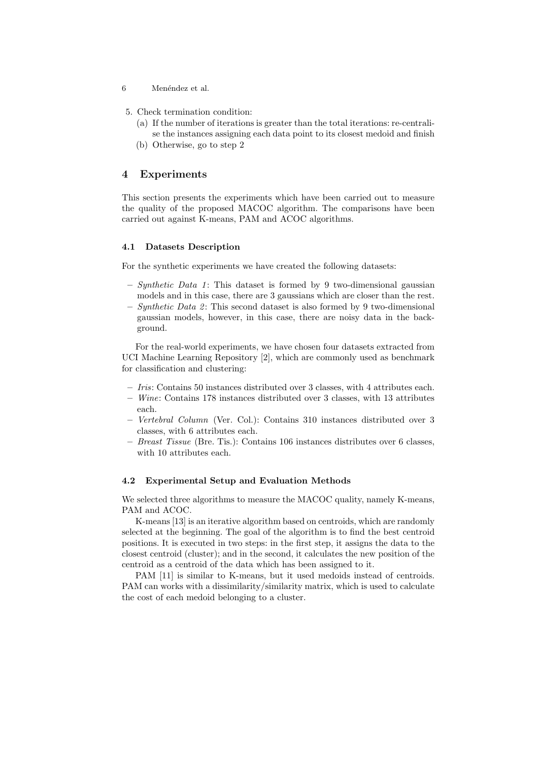- 6 Menéndez et al.
- 5. Check termination condition:
	- (a) If the number of iterations is greater than the total iterations: re-centralise the instances assigning each data point to its closest medoid and finish
	- (b) Otherwise, go to step 2

#### 4 Experiments

This section presents the experiments which have been carried out to measure the quality of the proposed MACOC algorithm. The comparisons have been carried out against K-means, PAM and ACOC algorithms.

#### 4.1 Datasets Description

For the synthetic experiments we have created the following datasets:

- $-$  *Synthetic Data 1*: This dataset is formed by 9 two-dimensional gaussian models and in this case, there are 3 gaussians which are closer than the rest.
- $-$  Synthetic Data 2: This second dataset is also formed by 9 two-dimensional gaussian models, however, in this case, there are noisy data in the background.

For the real-world experiments, we have chosen four datasets extracted from UCI Machine Learning Repository [2], which are commonly used as benchmark for classification and clustering:

- Iris: Contains 50 instances distributed over 3 classes, with 4 attributes each.
- Wine: Contains 178 instances distributed over 3 classes, with 13 attributes each.
- Vertebral Column (Ver. Col.): Contains 310 instances distributed over 3 classes, with 6 attributes each.
- $-$  Breast Tissue (Bre. Tis.): Contains 106 instances distributes over 6 classes, with 10 attributes each.

#### 4.2 Experimental Setup and Evaluation Methods

We selected three algorithms to measure the MACOC quality, namely K-means, PAM and ACOC.

K-means [13] is an iterative algorithm based on centroids, which are randomly selected at the beginning. The goal of the algorithm is to find the best centroid positions. It is executed in two steps: in the first step, it assigns the data to the closest centroid (cluster); and in the second, it calculates the new position of the centroid as a centroid of the data which has been assigned to it.

PAM [11] is similar to K-means, but it used medoids instead of centroids. PAM can works with a dissimilarity/similarity matrix, which is used to calculate the cost of each medoid belonging to a cluster.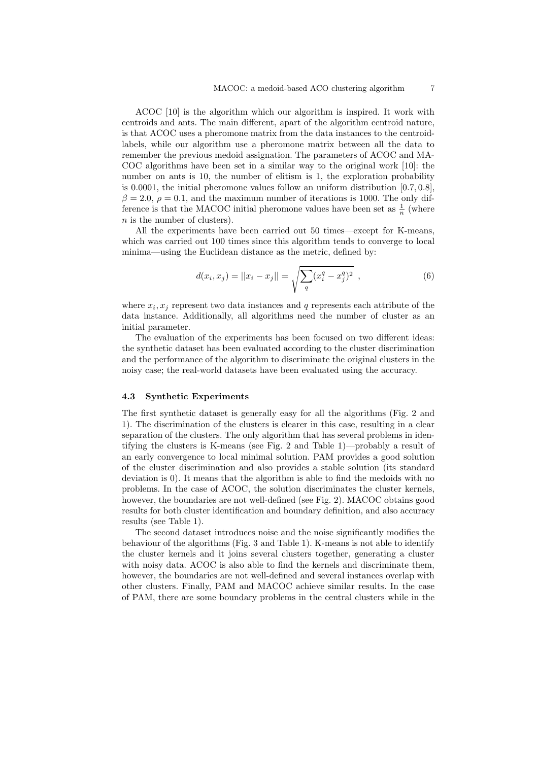ACOC [10] is the algorithm which our algorithm is inspired. It work with centroids and ants. The main different, apart of the algorithm centroid nature, is that ACOC uses a pheromone matrix from the data instances to the centroidlabels, while our algorithm use a pheromone matrix between all the data to remember the previous medoid assignation. The parameters of ACOC and MA-COC algorithms have been set in a similar way to the original work [10]: the number on ants is 10, the number of elitism is 1, the exploration probability is 0.0001, the initial pheromone values follow an uniform distribution [0.7, 0.8],  $\beta = 2.0, \rho = 0.1$ , and the maximum number of iterations is 1000. The only difference is that the MACOC initial pheromone values have been set as  $\frac{1}{n}$  (where n is the number of clusters).

All the experiments have been carried out 50 times—except for K-means, which was carried out 100 times since this algorithm tends to converge to local minima—using the Euclidean distance as the metric, defined by:

$$
d(x_i, x_j) = ||x_i - x_j|| = \sqrt{\sum_{q} (x_i^q - x_j^q)^2}, \qquad (6)
$$

where  $x_i, x_j$  represent two data instances and q represents each attribute of the data instance. Additionally, all algorithms need the number of cluster as an initial parameter.

The evaluation of the experiments has been focused on two different ideas: the synthetic dataset has been evaluated according to the cluster discrimination and the performance of the algorithm to discriminate the original clusters in the noisy case; the real-world datasets have been evaluated using the accuracy.

#### 4.3 Synthetic Experiments

The first synthetic dataset is generally easy for all the algorithms (Fig. 2 and 1). The discrimination of the clusters is clearer in this case, resulting in a clear separation of the clusters. The only algorithm that has several problems in identifying the clusters is K-means (see Fig. 2 and Table 1)—probably a result of an early convergence to local minimal solution. PAM provides a good solution of the cluster discrimination and also provides a stable solution (its standard deviation is 0). It means that the algorithm is able to find the medoids with no problems. In the case of ACOC, the solution discriminates the cluster kernels, however, the boundaries are not well-defined (see Fig. 2). MACOC obtains good results for both cluster identification and boundary definition, and also accuracy results (see Table 1).

The second dataset introduces noise and the noise significantly modifies the behaviour of the algorithms (Fig. 3 and Table 1). K-means is not able to identify the cluster kernels and it joins several clusters together, generating a cluster with noisy data. ACOC is also able to find the kernels and discriminate them, however, the boundaries are not well-defined and several instances overlap with other clusters. Finally, PAM and MACOC achieve similar results. In the case of PAM, there are some boundary problems in the central clusters while in the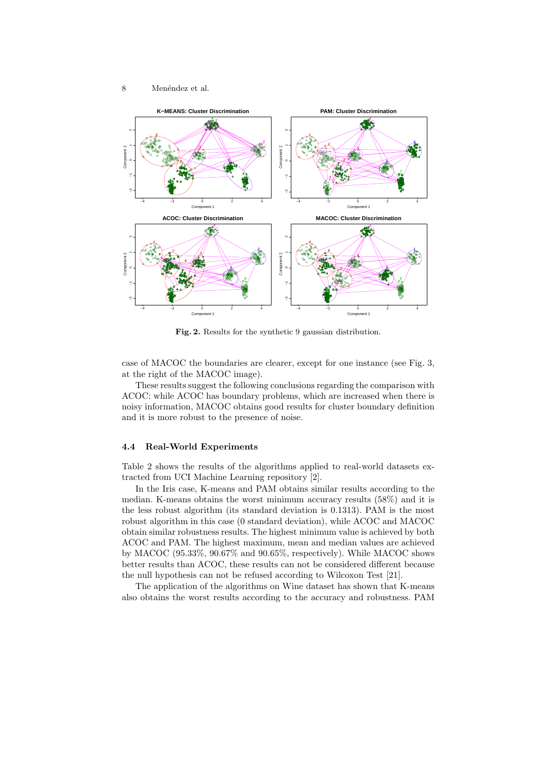



Fig. 2. Results for the synthetic 9 gaussian distribution.

case of MACOC the boundaries are clearer, except for one instance (see Fig. 3, at the right of the MACOC image).

These results suggest the following conclusions regarding the comparison with ACOC: while ACOC has boundary problems, which are increased when there is noisy information, MACOC obtains good results for cluster boundary definition and it is more robust to the presence of noise.

#### 4.4 Real-World Experiments

Table 2 shows the results of the algorithms applied to real-world datasets extracted from UCI Machine Learning repository [2].

In the Iris case, K-means and PAM obtains similar results according to the median. K-means obtains the worst minimum accuracy results (58%) and it is the less robust algorithm (its standard deviation is 0.1313). PAM is the most robust algorithm in this case (0 standard deviation), while ACOC and MACOC obtain similar robustness results. The highest minimum value is achieved by both ACOC and PAM. The highest maximum, mean and median values are achieved by MACOC (95.33%, 90.67% and 90.65%, respectively). While MACOC shows better results than ACOC, these results can not be considered different because the null hypothesis can not be refused according to Wilcoxon Test [21].

The application of the algorithms on Wine dataset has shown that K-means also obtains the worst results according to the accuracy and robustness. PAM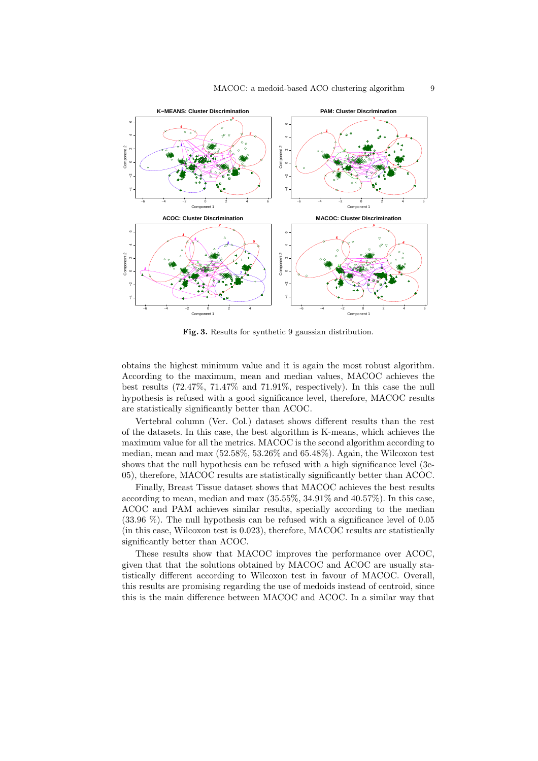

Fig. 3. Results for synthetic 9 gaussian distribution.

obtains the highest minimum value and it is again the most robust algorithm. According to the maximum, mean and median values, MACOC achieves the best results (72.47%, 71.47% and 71.91%, respectively). In this case the null hypothesis is refused with a good significance level, therefore, MACOC results are statistically significantly better than ACOC.

Vertebral column (Ver. Col.) dataset shows different results than the rest of the datasets. In this case, the best algorithm is K-means, which achieves the maximum value for all the metrics. MACOC is the second algorithm according to median, mean and max (52.58%, 53.26% and 65.48%). Again, the Wilcoxon test shows that the null hypothesis can be refused with a high significance level (3e-05), therefore, MACOC results are statistically significantly better than ACOC.

Finally, Breast Tissue dataset shows that MACOC achieves the best results according to mean, median and max (35.55%, 34.91% and 40.57%). In this case, ACOC and PAM achieves similar results, specially according to the median (33.96 %). The null hypothesis can be refused with a significance level of 0.05 (in this case, Wilcoxon test is 0.023), therefore, MACOC results are statistically significantly better than ACOC.

These results show that MACOC improves the performance over ACOC, given that that the solutions obtained by MACOC and ACOC are usually statistically different according to Wilcoxon test in favour of MACOC. Overall, this results are promising regarding the use of medoids instead of centroid, since this is the main difference between MACOC and ACOC. In a similar way that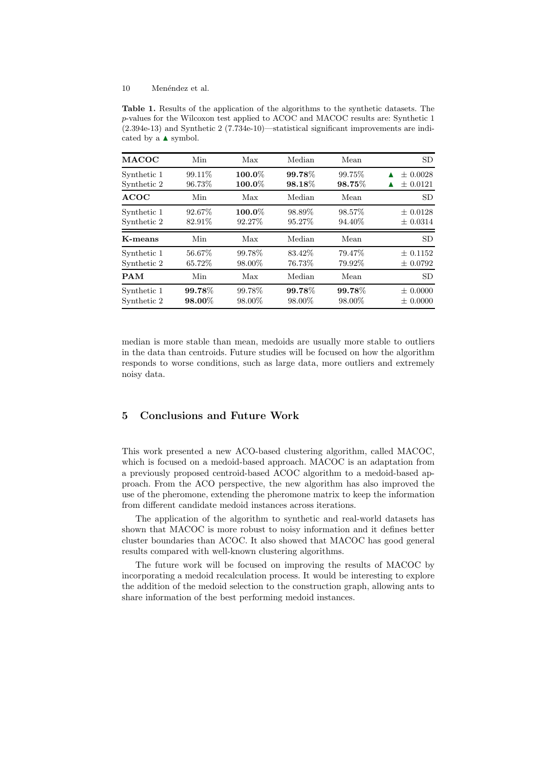10 Menéndez et al.

Table 1. Results of the application of the algorithms to the synthetic datasets. The p-values for the Wilcoxon test applied to ACOC and MACOC results are: Synthetic 1 (2.394e-13) and Synthetic 2 (7.734e-10)—statistical significant improvements are indicated by a  $\blacktriangle$  symbol.

| <b>MACOC</b> | Min     | Max       | Median    | Mean   | <b>SD</b>    |
|--------------|---------|-----------|-----------|--------|--------------|
| Synthetic 1  | 99.11\% | $100.0\%$ | 99.78%    | 99.75% | $\pm 0.0028$ |
| Synthetic 2  | 96.73%  | $100.0\%$ | $98.18\%$ | 98.75% | $\pm 0.0121$ |
| <b>ACOC</b>  | Min     | Max       | Median    | Mean   | <b>SD</b>    |
| Synthetic 1  | 92.67%  | 100.0%    | 98.89%    | 98.57% | $\pm 0.0128$ |
| Synthetic 2  | 82.91\% | 92.27%    | 95.27%    | 94.40% | $\pm 0.0314$ |
| K-means      | Min     | Max       | Median    | Mean   | <b>SD</b>    |
| Synthetic 1  | 56.67%  | 99.78%    | 83.42%    | 79.47% | $\pm 0.1152$ |
| Synthetic 2  | 65.72%  | 98.00%    | 76.73%    | 79.92% | $\pm 0.0792$ |
| <b>PAM</b>   | Min     | Max       | Median    | Mean   | <b>SD</b>    |
| Synthetic 1  | 99.78%  | 99.78%    | 99.78%    | 99.78% | $\pm 0.0000$ |
| Synthetic 2  | 98.00%  | 98.00%    | 98.00%    | 98.00% | $\pm 0.0000$ |

median is more stable than mean, medoids are usually more stable to outliers in the data than centroids. Future studies will be focused on how the algorithm responds to worse conditions, such as large data, more outliers and extremely noisy data.

#### 5 Conclusions and Future Work

This work presented a new ACO-based clustering algorithm, called MACOC, which is focused on a medoid-based approach. MACOC is an adaptation from a previously proposed centroid-based ACOC algorithm to a medoid-based approach. From the ACO perspective, the new algorithm has also improved the use of the pheromone, extending the pheromone matrix to keep the information from different candidate medoid instances across iterations.

The application of the algorithm to synthetic and real-world datasets has shown that MACOC is more robust to noisy information and it defines better cluster boundaries than ACOC. It also showed that MACOC has good general results compared with well-known clustering algorithms.

The future work will be focused on improving the results of MACOC by incorporating a medoid recalculation process. It would be interesting to explore the addition of the medoid selection to the construction graph, allowing ants to share information of the best performing medoid instances.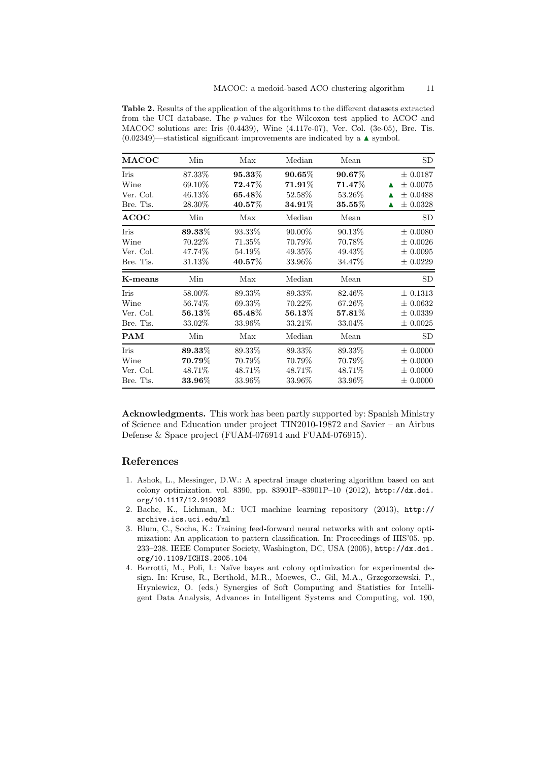Table 2. Results of the application of the algorithms to the different datasets extracted from the UCI database. The p-values for the Wilcoxon test applied to ACOC and MACOC solutions are: Iris (0.4439), Wine (4.117e-07), Ver. Col. (3e-05), Bre. Tis.  $(0.02349)$ —statistical significant improvements are indicated by a  $\blacktriangle$  symbol.

| <b>MACOC</b>                                          | Min                                                      | Max                                                            | Median                                                               | Mean                                                             | SD                                                                                  |
|-------------------------------------------------------|----------------------------------------------------------|----------------------------------------------------------------|----------------------------------------------------------------------|------------------------------------------------------------------|-------------------------------------------------------------------------------------|
| Iris<br>Wine<br>Ver. Col.<br>Bre. Tis.<br><b>ACOC</b> | 87.33%<br>69.10\%<br>46.13\%<br>28.30\%<br>Min           | $95.33\%$<br>72.47%<br>65.48%<br>$\boldsymbol{40.57\%}$<br>Max | $90.65\%$<br>$71.91\%$<br>52.58%<br>$\boldsymbol{34.91\%}$<br>Median | $90.67\%$<br>71.47%<br>53.26\%<br>$\boldsymbol{35.55\%}$<br>Mean | $\pm 0.0187$<br>$\pm 0.0075$<br>▲<br>$\pm 0.0488$<br>▲<br>$\pm 0.0328$<br><b>SD</b> |
| Iris<br>Wine<br>Ver. Col.<br>Bre. Tis.                | $\boldsymbol{89.33\%}$<br>$70.22\%$<br>47.74\%<br>31.13% | 93.33%<br>$71.35\%$<br>54.19%<br>$40.57\%$                     | 90.00%<br>70.79%<br>49.35\%<br>33.96%                                | 90.13%<br>70.78%<br>49.43\%<br>34.47%                            | $\pm 0.0080$<br>$\pm 0.0026$<br>$\pm 0.0095$<br>$\pm 0.0229$                        |
| K-means                                               | Min                                                      | Max                                                            | Median                                                               | Mean                                                             | SD                                                                                  |
| Iris<br>Wine                                          | 58.00%<br>56.74\%                                        | 89.33\%<br>$69.33\%$                                           | 89.33\%<br>70.22\%                                                   | 82.46\%<br>67.26\%                                               | $\pm 0.1313$<br>$\pm 0.0632$                                                        |
| Ver. Col.<br>Bre. Tis.                                | $\boldsymbol{56.13\%}$<br>33.02\%                        | $\boldsymbol{65.48\%}$<br>33.96\%                              | $\boldsymbol{56.13\%}$<br>33.21\%                                    | $\boldsymbol{57.81\%}$<br>33.04\%                                | $\pm 0.0025$                                                                        |
| <b>PAM</b>                                            | Min                                                      | Max                                                            | Median                                                               | Mean                                                             | $\pm$ 0.0339<br>SD                                                                  |

Acknowledgments. This work has been partly supported by: Spanish Ministry of Science and Education under project TIN2010-19872 and Savier – an Airbus Defense & Space project (FUAM-076914 and FUAM-076915).

#### References

- 1. Ashok, L., Messinger, D.W.: A spectral image clustering algorithm based on ant colony optimization. vol. 8390, pp. 83901P–83901P–10 (2012), http://dx.doi. org/10.1117/12.919082
- 2. Bache, K., Lichman, M.: UCI machine learning repository (2013), http:// archive.ics.uci.edu/ml
- 3. Blum, C., Socha, K.: Training feed-forward neural networks with ant colony optimization: An application to pattern classification. In: Proceedings of HIS'05. pp. 233–238. IEEE Computer Society, Washington, DC, USA (2005), http://dx.doi. org/10.1109/ICHIS.2005.104
- 4. Borrotti, M., Poli, I.: Naïve bayes ant colony optimization for experimental design. In: Kruse, R., Berthold, M.R., Moewes, C., Gil, M.A., Grzegorzewski, P., Hryniewicz, O. (eds.) Synergies of Soft Computing and Statistics for Intelligent Data Analysis, Advances in Intelligent Systems and Computing, vol. 190,